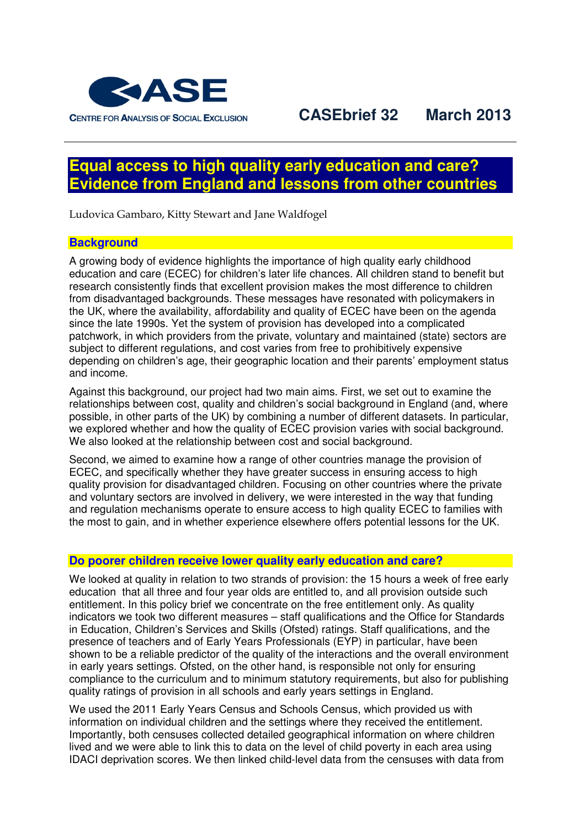

# **Equal access to high quality early education and care? Evidence from England and lessons from other countries**

Ludovica Gambaro, Kitty Stewart and Jane Waldfogel

# **Background**

A growing body of evidence highlights the importance of high quality early childhood education and care (ECEC) for children's later life chances. All children stand to benefit but research consistently finds that excellent provision makes the most difference to children from disadvantaged backgrounds. These messages have resonated with policymakers in the UK, where the availability, affordability and quality of ECEC have been on the agenda since the late 1990s. Yet the system of provision has developed into a complicated patchwork, in which providers from the private, voluntary and maintained (state) sectors are subject to different regulations, and cost varies from free to prohibitively expensive depending on children's age, their geographic location and their parents' employment status and income.

Against this background, our project had two main aims. First, we set out to examine the relationships between cost, quality and children's social background in England (and, where possible, in other parts of the UK) by combining a number of different datasets. In particular, we explored whether and how the quality of ECEC provision varies with social background. We also looked at the relationship between cost and social background.

Second, we aimed to examine how a range of other countries manage the provision of ECEC, and specifically whether they have greater success in ensuring access to high quality provision for disadvantaged children. Focusing on other countries where the private and voluntary sectors are involved in delivery, we were interested in the way that funding and regulation mechanisms operate to ensure access to high quality ECEC to families with the most to gain, and in whether experience elsewhere offers potential lessons for the UK.

## **Do poorer children receive lower quality early education and care?**

We looked at quality in relation to two strands of provision: the 15 hours a week of free early education that all three and four year olds are entitled to, and all provision outside such entitlement. In this policy brief we concentrate on the free entitlement only. As quality indicators we took two different measures – staff qualifications and the Office for Standards in Education, Children's Services and Skills (Ofsted) ratings. Staff qualifications, and the presence of teachers and of Early Years Professionals (EYP) in particular, have been shown to be a reliable predictor of the quality of the interactions and the overall environment in early years settings. Ofsted, on the other hand, is responsible not only for ensuring compliance to the curriculum and to minimum statutory requirements, but also for publishing quality ratings of provision in all schools and early years settings in England.

We used the 2011 Early Years Census and Schools Census, which provided us with information on individual children and the settings where they received the entitlement. Importantly, both censuses collected detailed geographical information on where children lived and we were able to link this to data on the level of child poverty in each area using IDACI deprivation scores. We then linked child-level data from the censuses with data from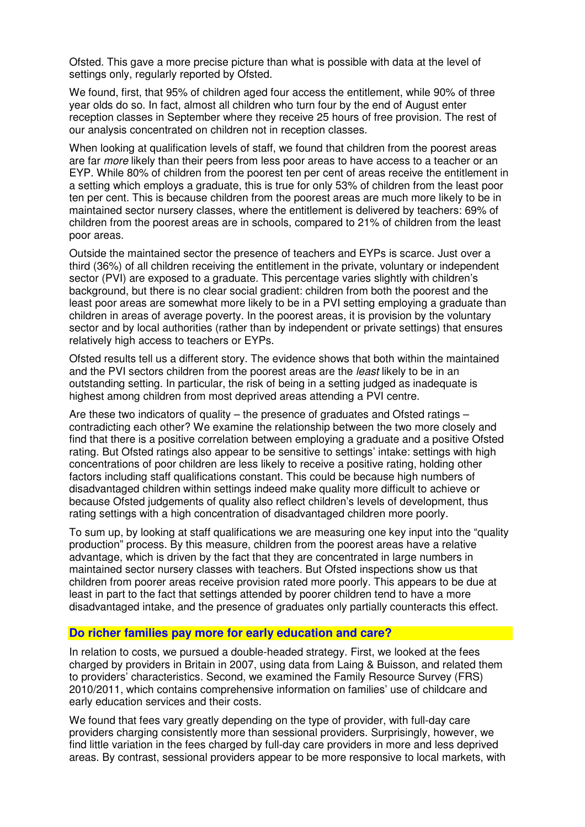Ofsted. This gave a more precise picture than what is possible with data at the level of settings only, regularly reported by Ofsted.

We found, first, that 95% of children aged four access the entitlement, while 90% of three year olds do so. In fact, almost all children who turn four by the end of August enter reception classes in September where they receive 25 hours of free provision. The rest of our analysis concentrated on children not in reception classes.

When looking at qualification levels of staff, we found that children from the poorest areas are far *more* likely than their peers from less poor areas to have access to a teacher or an EYP. While 80% of children from the poorest ten per cent of areas receive the entitlement in a setting which employs a graduate, this is true for only 53% of children from the least poor ten per cent. This is because children from the poorest areas are much more likely to be in maintained sector nursery classes, where the entitlement is delivered by teachers: 69% of children from the poorest areas are in schools, compared to 21% of children from the least poor areas.

Outside the maintained sector the presence of teachers and EYPs is scarce. Just over a third (36%) of all children receiving the entitlement in the private, voluntary or independent sector (PVI) are exposed to a graduate. This percentage varies slightly with children's background, but there is no clear social gradient: children from both the poorest and the least poor areas are somewhat more likely to be in a PVI setting employing a graduate than children in areas of average poverty. In the poorest areas, it is provision by the voluntary sector and by local authorities (rather than by independent or private settings) that ensures relatively high access to teachers or EYPs.

Ofsted results tell us a different story. The evidence shows that both within the maintained and the PVI sectors children from the poorest areas are the *least* likely to be in an outstanding setting. In particular, the risk of being in a setting judged as inadequate is highest among children from most deprived areas attending a PVI centre.

Are these two indicators of quality – the presence of graduates and Ofsted ratings – contradicting each other? We examine the relationship between the two more closely and find that there is a positive correlation between employing a graduate and a positive Ofsted rating. But Ofsted ratings also appear to be sensitive to settings' intake: settings with high concentrations of poor children are less likely to receive a positive rating, holding other factors including staff qualifications constant. This could be because high numbers of disadvantaged children within settings indeed make quality more difficult to achieve or because Ofsted judgements of quality also reflect children's levels of development, thus rating settings with a high concentration of disadvantaged children more poorly.

To sum up, by looking at staff qualifications we are measuring one key input into the "quality production" process. By this measure, children from the poorest areas have a relative advantage, which is driven by the fact that they are concentrated in large numbers in maintained sector nursery classes with teachers. But Ofsted inspections show us that children from poorer areas receive provision rated more poorly. This appears to be due at least in part to the fact that settings attended by poorer children tend to have a more disadvantaged intake, and the presence of graduates only partially counteracts this effect.

## **Do richer families pay more for early education and care?**

In relation to costs, we pursued a double-headed strategy. First, we looked at the fees charged by providers in Britain in 2007, using data from Laing & Buisson, and related them to providers' characteristics. Second, we examined the Family Resource Survey (FRS) 2010/2011, which contains comprehensive information on families' use of childcare and early education services and their costs.

We found that fees vary greatly depending on the type of provider, with full-day care providers charging consistently more than sessional providers. Surprisingly, however, we find little variation in the fees charged by full-day care providers in more and less deprived areas. By contrast, sessional providers appear to be more responsive to local markets, with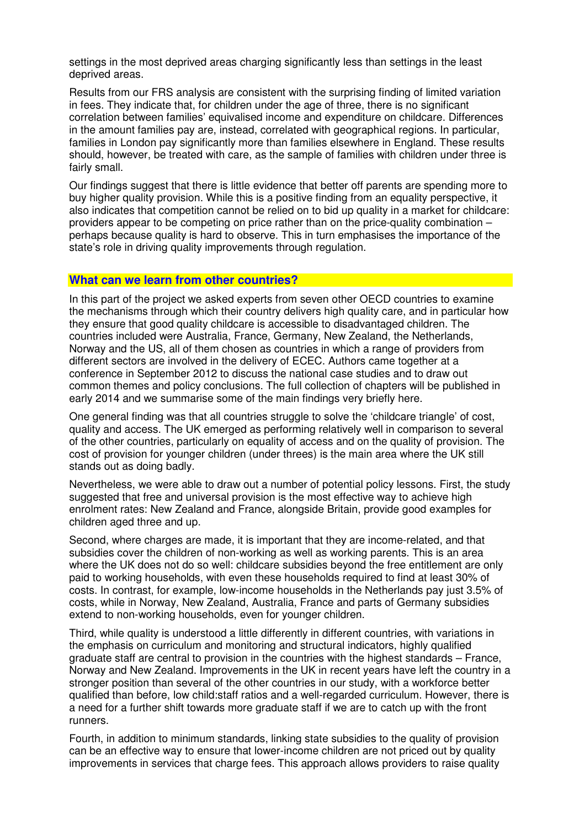settings in the most deprived areas charging significantly less than settings in the least deprived areas.

Results from our FRS analysis are consistent with the surprising finding of limited variation in fees. They indicate that, for children under the age of three, there is no significant correlation between families' equivalised income and expenditure on childcare. Differences in the amount families pay are, instead, correlated with geographical regions. In particular, families in London pay significantly more than families elsewhere in England. These results should, however, be treated with care, as the sample of families with children under three is fairly small.

Our findings suggest that there is little evidence that better off parents are spending more to buy higher quality provision. While this is a positive finding from an equality perspective, it also indicates that competition cannot be relied on to bid up quality in a market for childcare: providers appear to be competing on price rather than on the price-quality combination – perhaps because quality is hard to observe. This in turn emphasises the importance of the state's role in driving quality improvements through regulation.

### **What can we learn from other countries?**

In this part of the project we asked experts from seven other OECD countries to examine the mechanisms through which their country delivers high quality care, and in particular how they ensure that good quality childcare is accessible to disadvantaged children. The countries included were Australia, France, Germany, New Zealand, the Netherlands, Norway and the US, all of them chosen as countries in which a range of providers from different sectors are involved in the delivery of ECEC. Authors came together at a conference in September 2012 to discuss the national case studies and to draw out common themes and policy conclusions. The full collection of chapters will be published in early 2014 and we summarise some of the main findings very briefly here.

One general finding was that all countries struggle to solve the 'childcare triangle' of cost, quality and access. The UK emerged as performing relatively well in comparison to several of the other countries, particularly on equality of access and on the quality of provision. The cost of provision for younger children (under threes) is the main area where the UK still stands out as doing badly.

Nevertheless, we were able to draw out a number of potential policy lessons. First, the study suggested that free and universal provision is the most effective way to achieve high enrolment rates: New Zealand and France, alongside Britain, provide good examples for children aged three and up.

Second, where charges are made, it is important that they are income-related, and that subsidies cover the children of non-working as well as working parents. This is an area where the UK does not do so well: childcare subsidies beyond the free entitlement are only paid to working households, with even these households required to find at least 30% of costs. In contrast, for example, low-income households in the Netherlands pay just 3.5% of costs, while in Norway, New Zealand, Australia, France and parts of Germany subsidies extend to non-working households, even for younger children.

Third, while quality is understood a little differently in different countries, with variations in the emphasis on curriculum and monitoring and structural indicators, highly qualified graduate staff are central to provision in the countries with the highest standards – France, Norway and New Zealand. Improvements in the UK in recent years have left the country in a stronger position than several of the other countries in our study, with a workforce better qualified than before, low child:staff ratios and a well-regarded curriculum. However, there is a need for a further shift towards more graduate staff if we are to catch up with the front runners.

Fourth, in addition to minimum standards, linking state subsidies to the quality of provision can be an effective way to ensure that lower-income children are not priced out by quality improvements in services that charge fees. This approach allows providers to raise quality